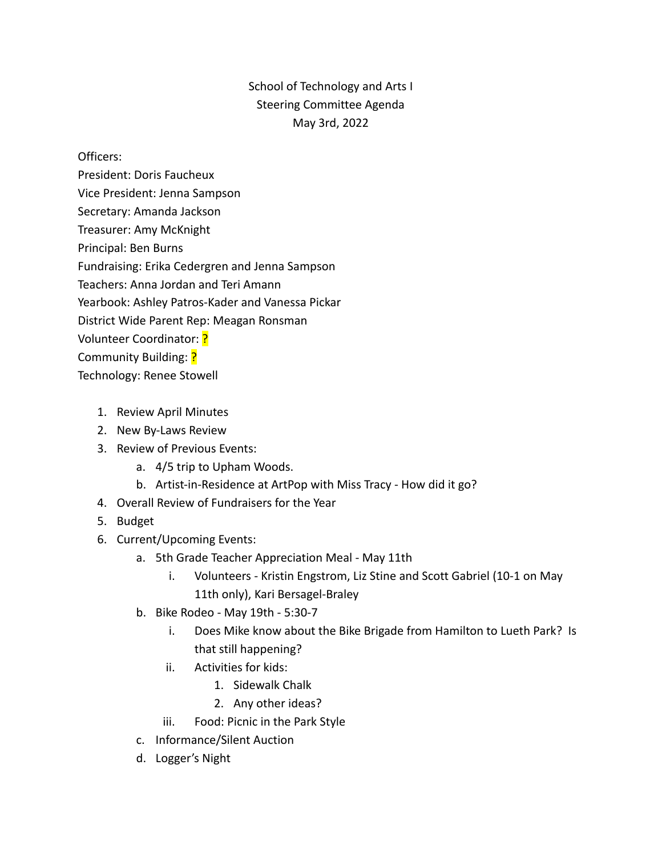## School of Technology and Arts I Steering Committee Agenda May 3rd, 2022

Officers:

- President: Doris Faucheux
- Vice President: Jenna Sampson
- Secretary: Amanda Jackson
- Treasurer: Amy McKnight
- Principal: Ben Burns

Fundraising: Erika Cedergren and Jenna Sampson

Teachers: Anna Jordan and Teri Amann

Yearbook: Ashley Patros-Kader and Vanessa Pickar

District Wide Parent Rep: Meagan Ronsman

Volunteer Coordinator: ?

Community Building: ?

Technology: Renee Stowell

- 1. Review April Minutes
- 2. New By-Laws Review
- 3. Review of Previous Events:
	- a. 4/5 trip to Upham Woods.
	- b. Artist-in-Residence at ArtPop with Miss Tracy How did it go?
- 4. Overall Review of Fundraisers for the Year
- 5. Budget
- 6. Current/Upcoming Events:
	- a. 5th Grade Teacher Appreciation Meal May 11th
		- i. Volunteers Kristin Engstrom, Liz Stine and Scott Gabriel (10-1 on May 11th only), Kari Bersagel-Braley
	- b. Bike Rodeo May 19th 5:30-7
		- i. Does Mike know about the Bike Brigade from Hamilton to Lueth Park? Is that still happening?
		- ii. Activities for kids:
			- 1. Sidewalk Chalk
			- 2. Any other ideas?
		- iii. Food: Picnic in the Park Style
	- c. Informance/Silent Auction
	- d. Logger's Night